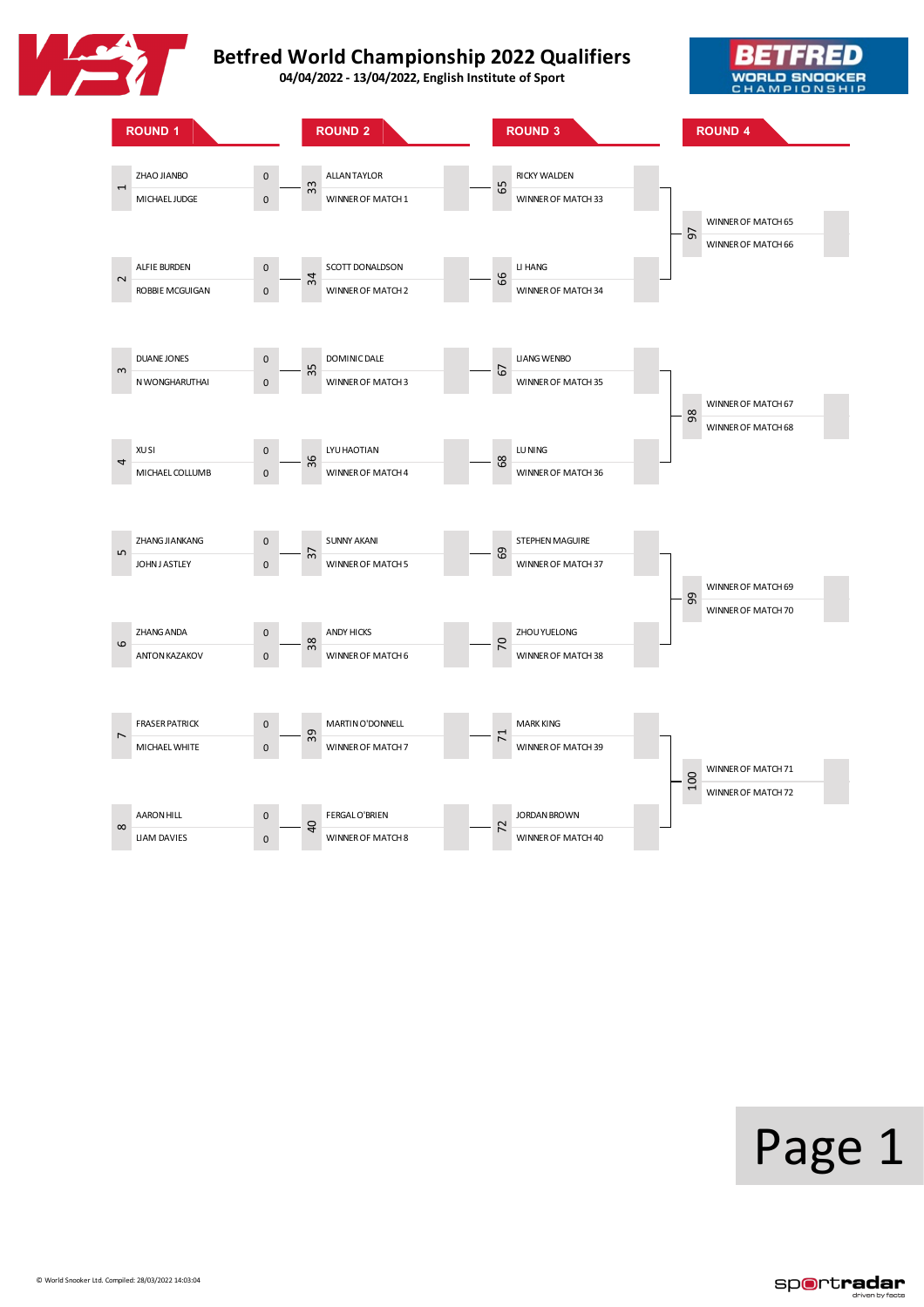





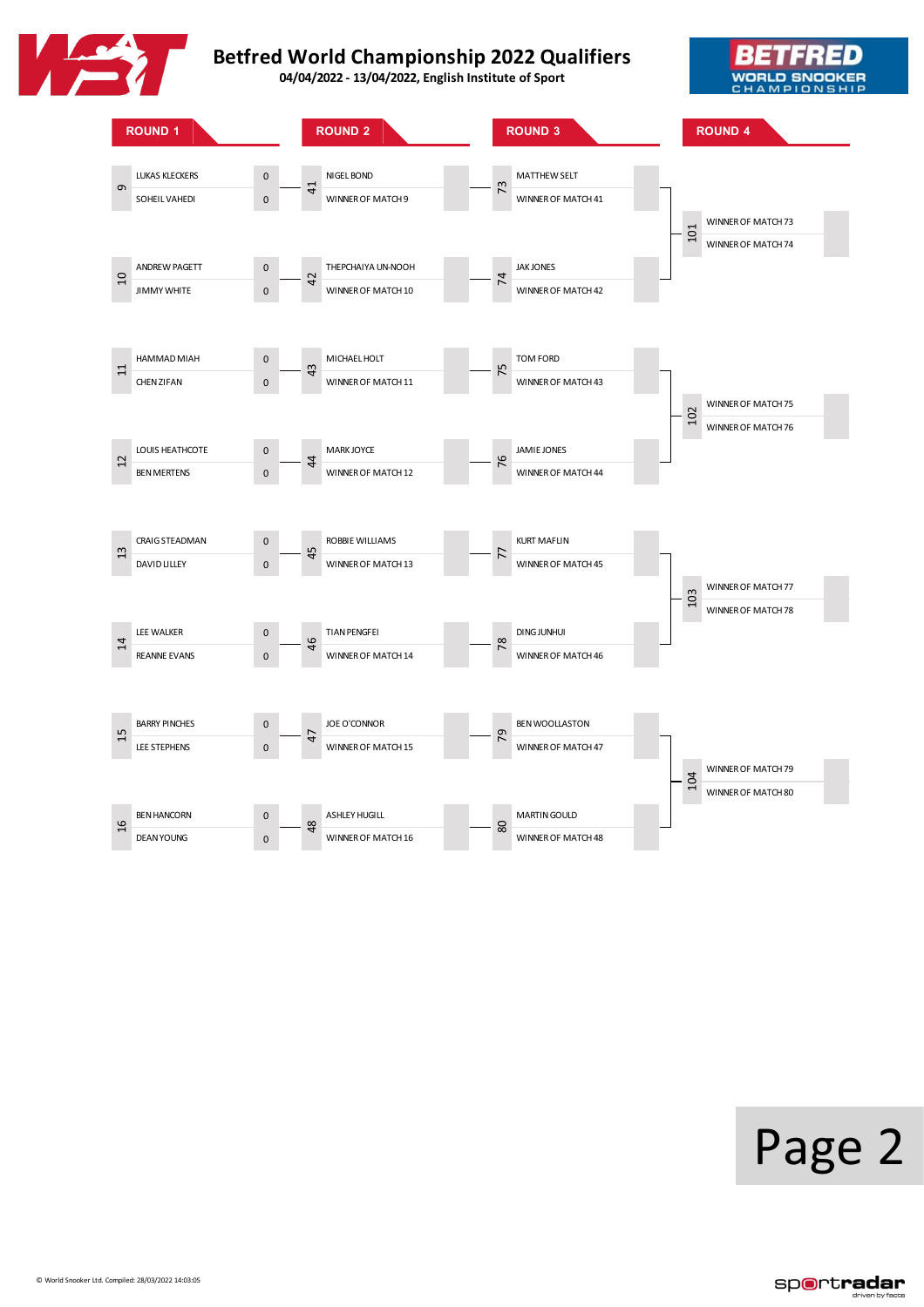





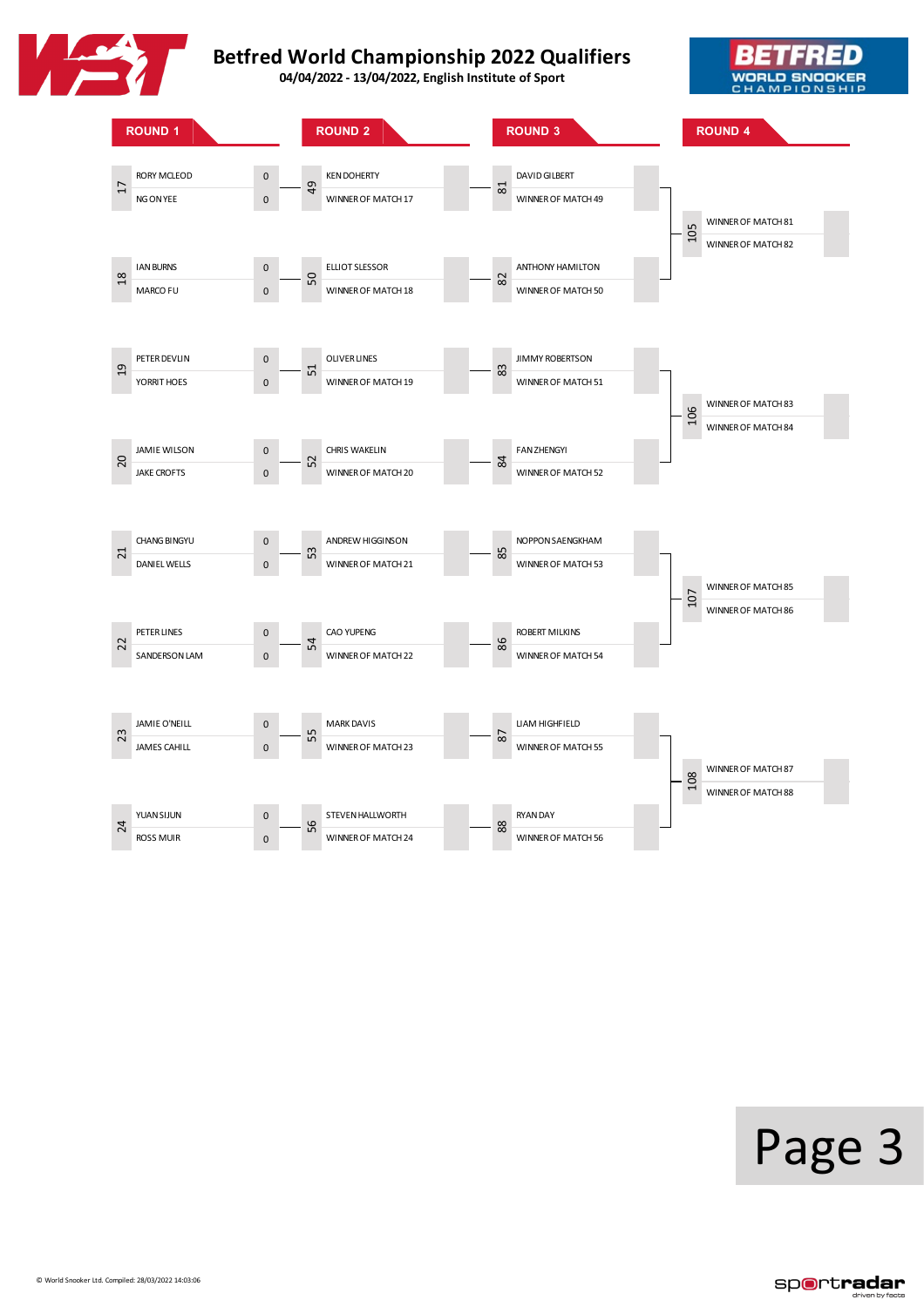